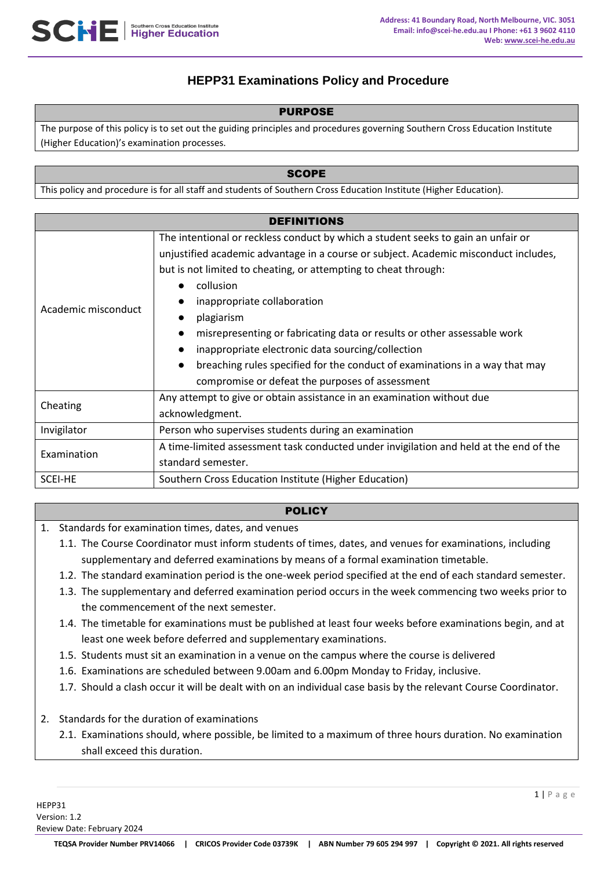# **HEPP31 Examinations Policy and Procedure**

### PURPOSE

The purpose of this policy is to set out the guiding principles and procedures governing Southern Cross Education Institute (Higher Education)'s examination processes.

### **SCOPE**

This policy and procedure is for all staff and students of Southern Cross Education Institute (Higher Education).

| <b>DEFINITIONS</b>  |                                                                                          |
|---------------------|------------------------------------------------------------------------------------------|
| Academic misconduct | The intentional or reckless conduct by which a student seeks to gain an unfair or        |
|                     | unjustified academic advantage in a course or subject. Academic misconduct includes,     |
|                     | but is not limited to cheating, or attempting to cheat through:                          |
|                     | collusion                                                                                |
|                     | inappropriate collaboration                                                              |
|                     | plagiarism                                                                               |
|                     | misrepresenting or fabricating data or results or other assessable work                  |
|                     | inappropriate electronic data sourcing/collection                                        |
|                     | breaching rules specified for the conduct of examinations in a way that may<br>$\bullet$ |
|                     | compromise or defeat the purposes of assessment                                          |
| Cheating            | Any attempt to give or obtain assistance in an examination without due                   |
|                     | acknowledgment.                                                                          |
| Invigilator         | Person who supervises students during an examination                                     |
| Examination         | A time-limited assessment task conducted under invigilation and held at the end of the   |
|                     | standard semester.                                                                       |
| <b>SCEI-HE</b>      | Southern Cross Education Institute (Higher Education)                                    |

### **POLICY**

- 1. Standards for examination times, dates, and venues
	- 1.1. The Course Coordinator must inform students of times, dates, and venues for examinations, including supplementary and deferred examinations by means of a formal examination timetable.
	- 1.2. The standard examination period is the one-week period specified at the end of each standard semester.
	- 1.3. The supplementary and deferred examination period occurs in the week commencing two weeks prior to the commencement of the next semester.
	- 1.4. The timetable for examinations must be published at least four weeks before examinations begin, and at least one week before deferred and supplementary examinations.
	- 1.5. Students must sit an examination in a venue on the campus where the course is delivered
	- 1.6. Examinations are scheduled between 9.00am and 6.00pm Monday to Friday, inclusive.
	- 1.7. Should a clash occur it will be dealt with on an individual case basis by the relevant Course Coordinator.
- 2. Standards for the duration of examinations
	- 2.1. Examinations should, where possible, be limited to a maximum of three hours duration. No examination shall exceed this duration.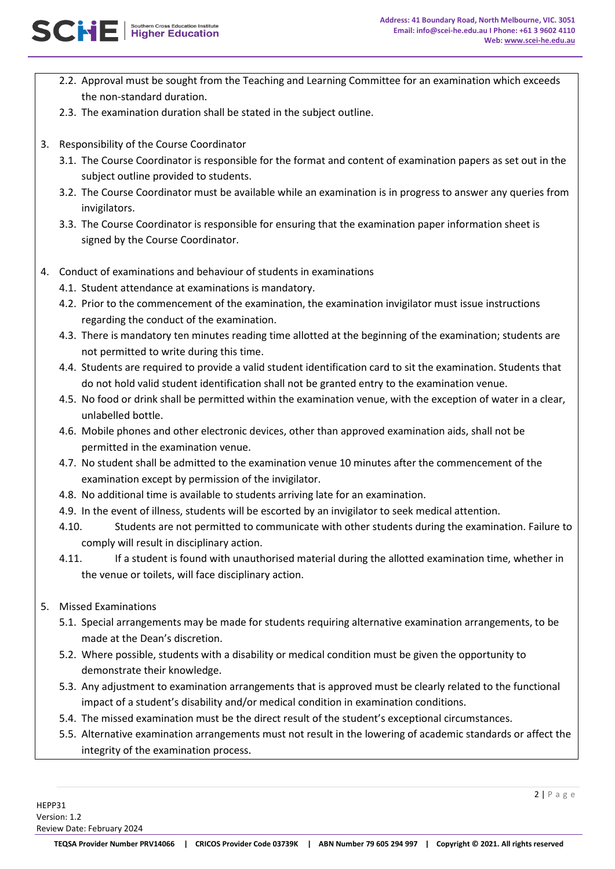- 2.2. Approval must be sought from the Teaching and Learning Committee for an examination which exceeds the non-standard duration.
- 2.3. The examination duration shall be stated in the subject outline.
- 3. Responsibility of the Course Coordinator

SCNE Higher Education

- 3.1. The Course Coordinator is responsible for the format and content of examination papers as set out in the subject outline provided to students.
- 3.2. The Course Coordinator must be available while an examination is in progress to answer any queries from invigilators.
- 3.3. The Course Coordinator is responsible for ensuring that the examination paper information sheet is signed by the Course Coordinator.
- 4. Conduct of examinations and behaviour of students in examinations
	- 4.1. Student attendance at examinations is mandatory.
	- 4.2. Prior to the commencement of the examination, the examination invigilator must issue instructions regarding the conduct of the examination.
	- 4.3. There is mandatory ten minutes reading time allotted at the beginning of the examination; students are not permitted to write during this time.
	- 4.4. Students are required to provide a valid student identification card to sit the examination. Students that do not hold valid student identification shall not be granted entry to the examination venue.
	- 4.5. No food or drink shall be permitted within the examination venue, with the exception of water in a clear, unlabelled bottle.
	- 4.6. Mobile phones and other electronic devices, other than approved examination aids, shall not be permitted in the examination venue.
	- 4.7. No student shall be admitted to the examination venue 10 minutes after the commencement of the examination except by permission of the invigilator.
	- 4.8. No additional time is available to students arriving late for an examination.
	- 4.9. In the event of illness, students will be escorted by an invigilator to seek medical attention.
	- 4.10. Students are not permitted to communicate with other students during the examination. Failure to comply will result in disciplinary action.
	- 4.11. If a student is found with unauthorised material during the allotted examination time, whether in the venue or toilets, will face disciplinary action.
- 5. Missed Examinations
	- 5.1. Special arrangements may be made for students requiring alternative examination arrangements, to be made at the Dean's discretion.
	- 5.2. Where possible, students with a disability or medical condition must be given the opportunity to demonstrate their knowledge.
	- 5.3. Any adjustment to examination arrangements that is approved must be clearly related to the functional impact of a student's disability and/or medical condition in examination conditions.
	- 5.4. The missed examination must be the direct result of the student's exceptional circumstances.
	- 5.5. Alternative examination arrangements must not result in the lowering of academic standards or affect the integrity of the examination process.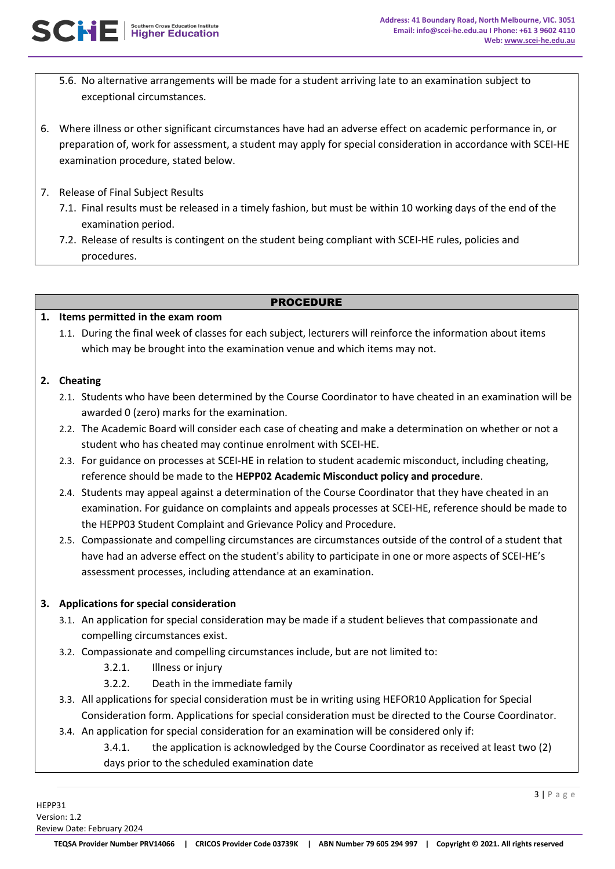- 5.6. No alternative arrangements will be made for a student arriving late to an examination subject to exceptional circumstances.
- 6. Where illness or other significant circumstances have had an adverse effect on academic performance in, or preparation of, work for assessment, a student may apply for special consideration in accordance with SCEI-HE examination procedure, stated below.
- 7. Release of Final Subject Results
	- 7.1. Final results must be released in a timely fashion, but must be within 10 working days of the end of the examination period.
	- 7.2. Release of results is contingent on the student being compliant with SCEI-HE rules, policies and procedures.

### PROCEDURE

## **1. Items permitted in the exam room**

1.1. During the final week of classes for each subject, lecturers will reinforce the information about items which may be brought into the examination venue and which items may not.

## **2. Cheating**

- 2.1. Students who have been determined by the Course Coordinator to have cheated in an examination will be awarded 0 (zero) marks for the examination.
- 2.2. The Academic Board will consider each case of cheating and make a determination on whether or not a student who has cheated may continue enrolment with SCEI-HE.
- 2.3. For guidance on processes at SCEI-HE in relation to student academic misconduct, including cheating, reference should be made to the **HEPP02 Academic Misconduct policy and procedure**.
- 2.4. Students may appeal against a determination of the Course Coordinator that they have cheated in an examination. For guidance on complaints and appeals processes at SCEI-HE, reference should be made to the HEPP03 Student Complaint and Grievance Policy and Procedure.
- 2.5. Compassionate and compelling circumstances are circumstances outside of the control of a student that have had an adverse effect on the student's ability to participate in one or more aspects of SCEI-HE's assessment processes, including attendance at an examination.

## **3. Applications for special consideration**

- 3.1. An application for special consideration may be made if a student believes that compassionate and compelling circumstances exist.
- 3.2. Compassionate and compelling circumstances include, but are not limited to:
	- 3.2.1. Illness or injury
	- 3.2.2. Death in the immediate family
- 3.3. All applications for special consideration must be in writing using HEFOR10 Application for Special Consideration form. Applications for special consideration must be directed to the Course Coordinator.
- 3.4. An application for special consideration for an examination will be considered only if:
	- 3.4.1. the application is acknowledged by the Course Coordinator as received at least two (2) days prior to the scheduled examination date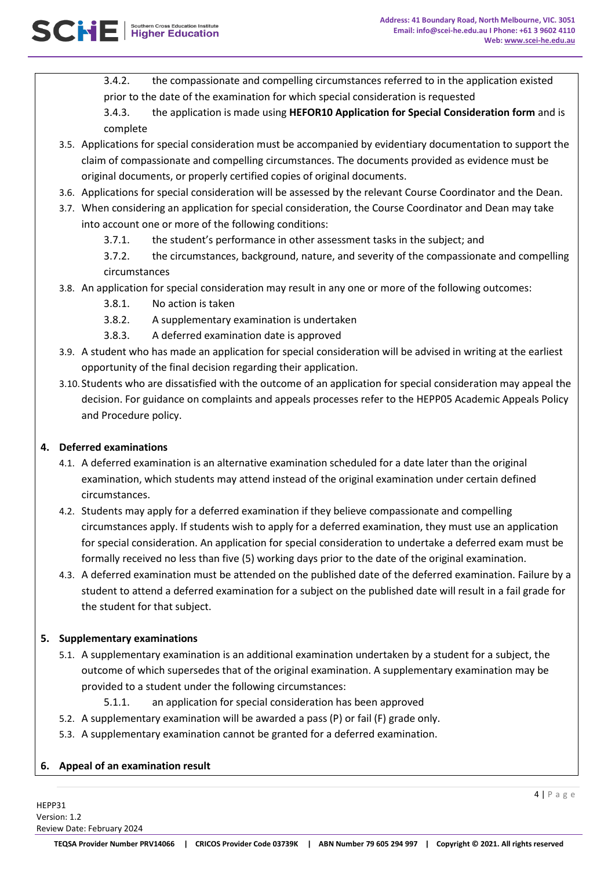3.4.2. the compassionate and compelling circumstances referred to in the application existed prior to the date of the examination for which special consideration is requested

3.4.3. the application is made using **HEFOR10 Application for Special Consideration form** and is complete

- 3.5. Applications for special consideration must be accompanied by evidentiary documentation to support the claim of compassionate and compelling circumstances. The documents provided as evidence must be original documents, or properly certified copies of original documents.
- 3.6. Applications for special consideration will be assessed by the relevant Course Coordinator and the Dean.
- 3.7. When considering an application for special consideration, the Course Coordinator and Dean may take into account one or more of the following conditions:
	- 3.7.1. the student's performance in other assessment tasks in the subject; and

3.7.2. the circumstances, background, nature, and severity of the compassionate and compelling circumstances

- 3.8. An application for special consideration may result in any one or more of the following outcomes:
	- 3.8.1. No action is taken
	- 3.8.2. A supplementary examination is undertaken
	- 3.8.3. A deferred examination date is approved
- 3.9. A student who has made an application for special consideration will be advised in writing at the earliest opportunity of the final decision regarding their application.
- 3.10. Students who are dissatisfied with the outcome of an application for special consideration may appeal the decision. For guidance on complaints and appeals processes refer to the HEPP05 Academic Appeals Policy and Procedure policy.

## **4. Deferred examinations**

- 4.1. A deferred examination is an alternative examination scheduled for a date later than the original examination, which students may attend instead of the original examination under certain defined circumstances.
- 4.2. Students may apply for a deferred examination if they believe compassionate and compelling circumstances apply. If students wish to apply for a deferred examination, they must use an application for special consideration. An application for special consideration to undertake a deferred exam must be formally received no less than five (5) working days prior to the date of the original examination.
- 4.3. A deferred examination must be attended on the published date of the deferred examination. Failure by a student to attend a deferred examination for a subject on the published date will result in a fail grade for the student for that subject.

## **5. Supplementary examinations**

- 5.1. A supplementary examination is an additional examination undertaken by a student for a subject, the outcome of which supersedes that of the original examination. A supplementary examination may be provided to a student under the following circumstances:
	- 5.1.1. an application for special consideration has been approved
- 5.2. A supplementary examination will be awarded a pass (P) or fail (F) grade only.
- 5.3. A supplementary examination cannot be granted for a deferred examination.

## **6. Appeal of an examination result**